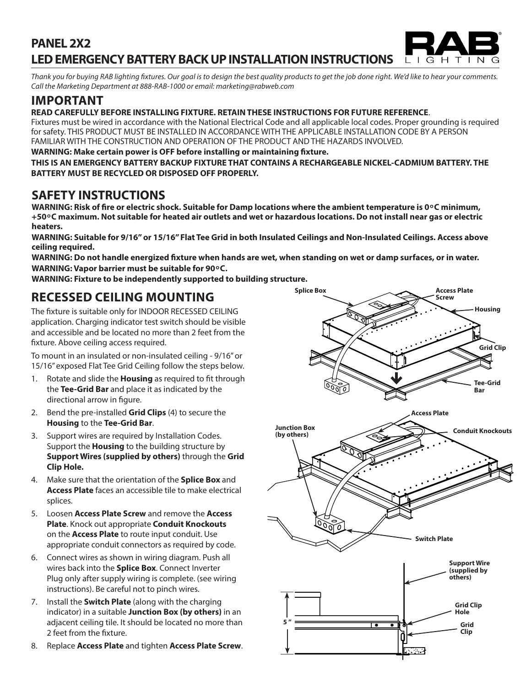### **PANEL 2X2 LED EMERGENCY BATTERY BACK UP INSTALLATION INSTRUCTIONS**  $I$   $G$   $H$   $T$

*Thank you for buying RAB lighting fixtures. Our goal is to design the best quality products to get the job done right. We'd like to hear your comments. Call the Marketing Department at 888-RAB-1000 or email: marketing@rabweb.com*

# **IMPORTANT**

### **READ CAREFULLY BEFORE INSTALLING FIXTURE. RETAIN THESE INSTRUCTIONS FOR FUTURE REFERENCE**.

Fixtures must be wired in accordance with the National Electrical Code and all applicable local codes. Proper grounding is required for safety. THIS PRODUCT MUST BE INSTALLED IN ACCORDANCE WITH THE APPLICABLE INSTALLATION CODE BY A PERSON FAMILIAR WITH THE CONSTRUCTION AND OPERATION OF THE PRODUCT AND THE HAZARDS INVOLVED.

**WARNING: Make certain power is OFF before installing or maintaining fixture.** 

**THIS IS AN EMERGENCY BATTERY BACKUP FIXTURE THAT CONTAINS A RECHARGEABLE NICKEL-CADMIUM BATTERY. THE BATTERY MUST BE RECYCLED OR DISPOSED OFF PROPERLY.**

# **SAFETY INSTRUCTIONS**

**WARNING: Risk of fire or electric shock. Suitable for Damp locations where the ambient temperature is 0<sup>o</sup>C minimum, +50 ͦ C maximum. Not suitable for heated air outlets and wet or hazardous locations. Do not install near gas or electric heaters.**

**WARNING: Suitable for 9/16" or 15/16" Flat Tee Grid in both Insulated Ceilings and Non-Insulated Ceilings. Access above ceiling required.** 

**WARNING: Do not handle energized fixture when hands are wet, when standing on wet or damp surfaces, or in water. WARNING: Vapor barrier must be suitable for 90 ͦ C.**

**WARNING: Fixture to be independently supported to building structure.**

# **RECESSED CEILING MOUNTING**

The fixture is suitable only for INDOOR RECESSED CEILING application. Charging indicator test switch should be visible and accessible and be located no more than 2 feet from the fixture. Above ceiling access required.

To mount in an insulated or non-insulated ceiling - 9/16" or 15/16" exposed Flat Tee Grid Ceiling follow the steps below.

- 1. Rotate and slide the **Housing** as required to fit through the **Tee-Grid Bar** and place it as indicated by the directional arrow in figure.
- 2. Bend the pre-installed **Grid Clips** (4) to secure the **Housing** to the **Tee-Grid Bar**.
- 3. Support wires are required by Installation Codes. Support the **Housing** to the building structure by **Support Wires (supplied by others)** through the **Grid Clip Hole.**
- 4. Make sure that the orientation of the **Splice Box** and **Access Plate** faces an accessible tile to make electrical splices.
- 5. Loosen **Access Plate Screw** and remove the **Access Plate**. Knock out appropriate **Conduit Knockouts** on the **Access Plate** to route input conduit. Use appropriate conduit connectors as required by code.
- 6. Connect wires as shown in wiring diagram. Push all wires back into the **Splice Box**. Connect Inverter Plug only after supply wiring is complete. (see wiring instructions). Be careful not to pinch wires.
- 7. Install the **Switch Plate** (along with the charging indicator) in a suitable **Junction Box (by others)** in an adjacent ceiling tile. It should be located no more than 2 feet from the fixture.
- 8. Replace **Access Plate** and tighten **Access Plate Screw**.



 $\mathbb N$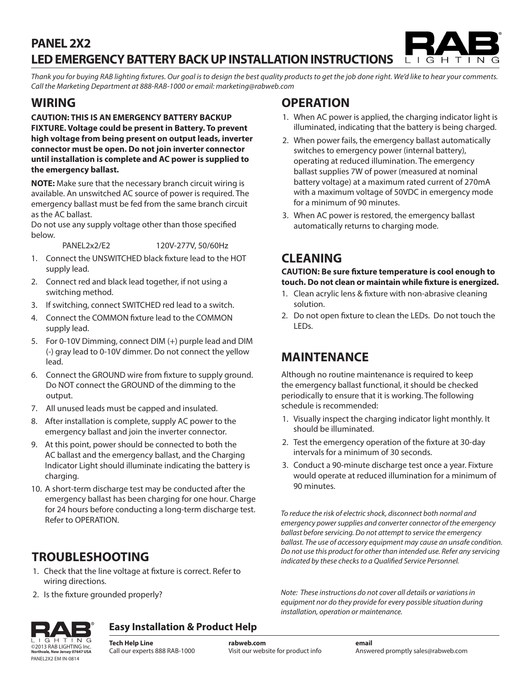### **PANEL 2X2 LED EMERGENCY BATTERY BACK UP INSTALLATION INSTRUCTIONS**  $1$   $1$   $G$   $H$   $T$

*Thank you for buying RAB lighting fixtures. Our goal is to design the best quality products to get the job done right. We'd like to hear your comments. Call the Marketing Department at 888-RAB-1000 or email: marketing@rabweb.com*

# **WIRING**

**CAUTION: THIS IS AN EMERGENCY BATTERY BACKUP FIXTURE. Voltage could be present in Battery. To prevent high voltage from being present on output leads, inverter connector must be open. Do not join inverter connector until installation is complete and AC power is supplied to the emergency ballast.** 

**NOTE:** Make sure that the necessary branch circuit wiring is available. An unswitched AC source of power is required. The emergency ballast must be fed from the same branch circuit as the AC ballast.

Do not use any supply voltage other than those specified below.

PANEL2x2/E2 120V-277V, 50/60Hz

- 1. Connect the UNSWITCHED black fixture lead to the HOT supply lead.
- 2. Connect red and black lead together, if not using a switching method.
- 3. If switching, connect SWITCHED red lead to a switch.
- 4. Connect the COMMON fixture lead to the COMMON supply lead.
- 5. For 0-10V Dimming, connect DIM (+) purple lead and DIM (-) gray lead to 0-10V dimmer. Do not connect the yellow lead.
- 6. Connect the GROUND wire from fixture to supply ground. Do NOT connect the GROUND of the dimming to the output.
- 7. All unused leads must be capped and insulated.
- 8. After installation is complete, supply AC power to the emergency ballast and join the inverter connector.
- 9. At this point, power should be connected to both the AC ballast and the emergency ballast, and the Charging Indicator Light should illuminate indicating the battery is charging.
- 10. A short-term discharge test may be conducted after the emergency ballast has been charging for one hour. Charge for 24 hours before conducting a long-term discharge test. Refer to OPERATION.

# **TROUBLESHOOTING**

- 1. Check that the line voltage at fixture is correct. Refer to wiring directions.
- 2. Is the fixture grounded properly?

# **OPERATION**

- 1. When AC power is applied, the charging indicator light is illuminated, indicating that the battery is being charged.
- 2. When power fails, the emergency ballast automatically switches to emergency power (internal battery), operating at reduced illumination. The emergency ballast supplies 7W of power (measured at nominal battery voltage) at a maximum rated current of 270mA with a maximum voltage of 50VDC in emergency mode for a minimum of 90 minutes.
- 3. When AC power is restored, the emergency ballast automatically returns to charging mode.

# **CLEANING**

### **CAUTION: Be sure fixture temperature is cool enough to touch. Do not clean or maintain while fixture is energized.**

- 1. Clean acrylic lens & fixture with non-abrasive cleaning solution.
- 2. Do not open fixture to clean the LEDs. Do not touch the LEDs.

# **MAINTENANCE**

Although no routine maintenance is required to keep the emergency ballast functional, it should be checked periodically to ensure that it is working. The following schedule is recommended:

- 1. Visually inspect the charging indicator light monthly. It should be illuminated.
- 2. Test the emergency operation of the fixture at 30-day intervals for a minimum of 30 seconds.
- 3. Conduct a 90-minute discharge test once a year. Fixture would operate at reduced illumination for a minimum of 90 minutes.

*To reduce the risk of electric shock, disconnect both normal and emergency power supplies and converter connector of the emergency ballast before servicing. Do not attempt to service the emergency ballast. The use of accessory equipment may cause an unsafe condition. Do not use this product for other than intended use. Refer any servicing indicated by these checks to a Qualified Service Personnel.*

*Note: These instructions do not cover all details or variations in equipment nor do they provide for every possible situation during installation, operation or maintenance.*



### **Easy Installation & Product Help**

**Tech Help Line** Call our experts 888 RAB-1000 ©2013 RAB LIGHTING Inc. **rabweb.com** Visit our website for product info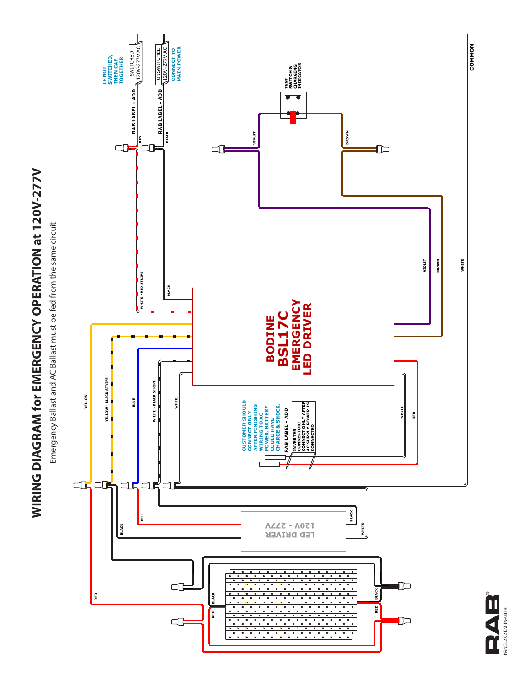

Emergency Ballast and AC Ballast must be fed from the same circuit Emergency Ballast and AC Ballast must be fed from the same circuit



©2012 RAB LIGHTING Inc. **Northvale, New Jersey 07647 USA rabweb.com** Visit our website for product info **email** Answered promptly sales@rabweb.com PANEL2X2 EM IN-0814RAB ANEL2X2 EM IN-0814